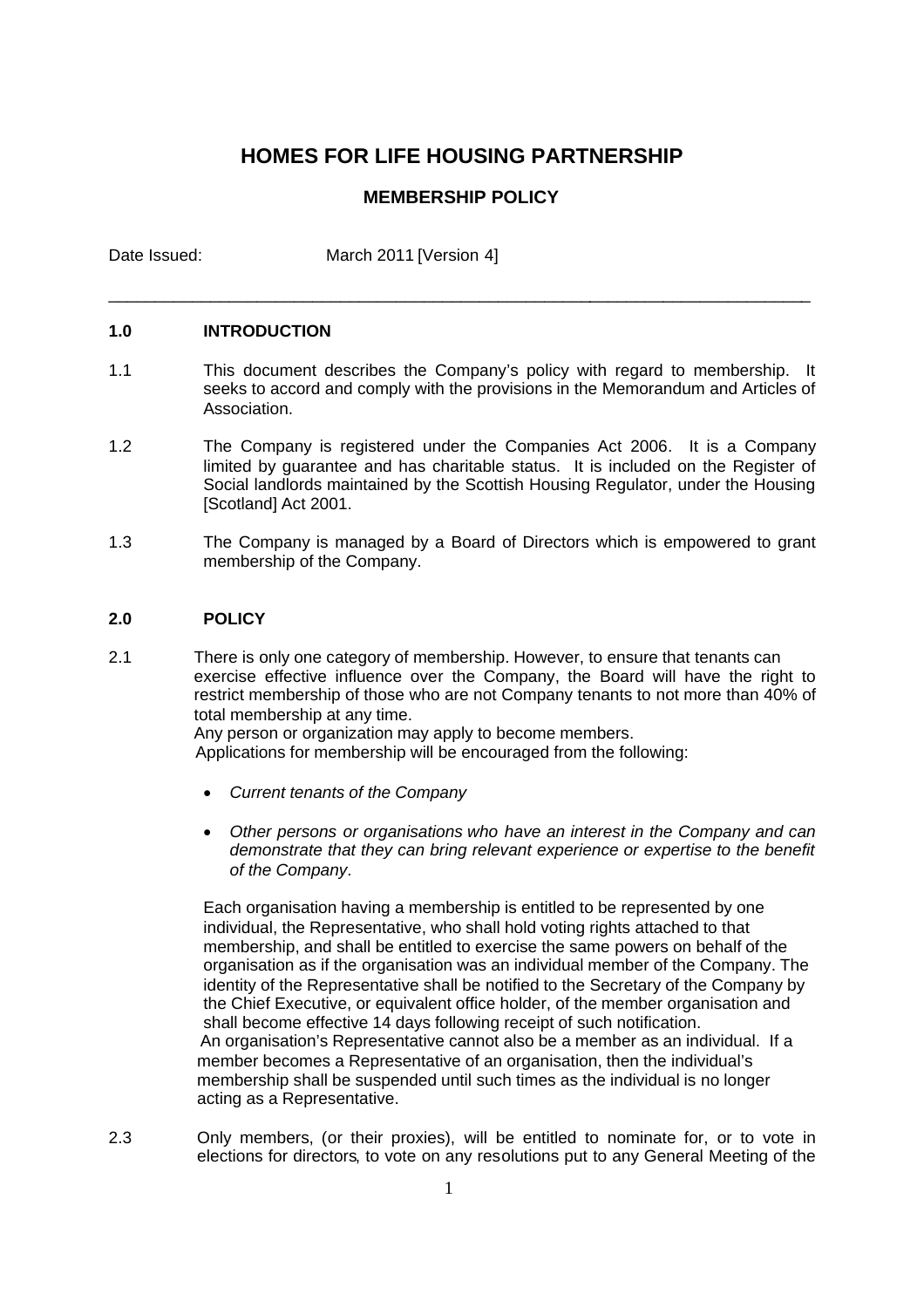## **HOMES FOR LIFE HOUSING PARTNERSHIP**

### **MEMBERSHIP POLICY**

\_\_\_\_\_\_\_\_\_\_\_\_\_\_\_\_\_\_\_\_\_\_\_\_\_\_\_\_\_\_\_\_\_\_\_\_\_\_\_\_\_\_\_\_\_\_\_\_\_\_\_\_\_\_\_\_\_\_\_\_\_\_\_\_\_\_\_\_\_\_\_\_\_\_\_\_

Date Issued: March 2011 [Version 4]

### **1.0 INTRODUCTION**

- 1.1 This document describes the Company's policy with regard to membership. It seeks to accord and comply with the provisions in the Memorandum and Articles of Association.
- 1.2 The Company is registered under the Companies Act 2006. It is a Company limited by guarantee and has charitable status. It is included on the Register of Social landlords maintained by the Scottish Housing Regulator, under the Housing [Scotland] Act 2001.
- 1.3 The Company is managed by a Board of Directors which is empowered to grant membership of the Company.

### **2.0 POLICY**

2.1 There is only one category of membership. However, to ensure that tenants can exercise effective influence over the Company, the Board will have the right to restrict membership of those who are not Company tenants to not more than 40% of total membership at any time.

Any person or organization may apply to become members.

Applications for membership will be encouraged from the following:

- *Current tenants of the Company*
- *Other persons or organisations who have an interest in the Company and can demonstrate that they can bring relevant experience or expertise to the benefit of the Company.*

Each organisation having a membership is entitled to be represented by one individual, the Representative, who shall hold voting rights attached to that membership, and shall be entitled to exercise the same powers on behalf of the organisation as if the organisation was an individual member of the Company. The identity of the Representative shall be notified to the Secretary of the Company by the Chief Executive, or equivalent office holder, of the member organisation and shall become effective 14 days following receipt of such notification. An organisation's Representative cannot also be a member as an individual. If a member becomes a Representative of an organisation, then the individual's membership shall be suspended until such times as the individual is no longer acting as a Representative.

2.3 Only members, (or their proxies), will be entitled to nominate for, or to vote in elections for directors, to vote on any resolutions put to any General Meeting of the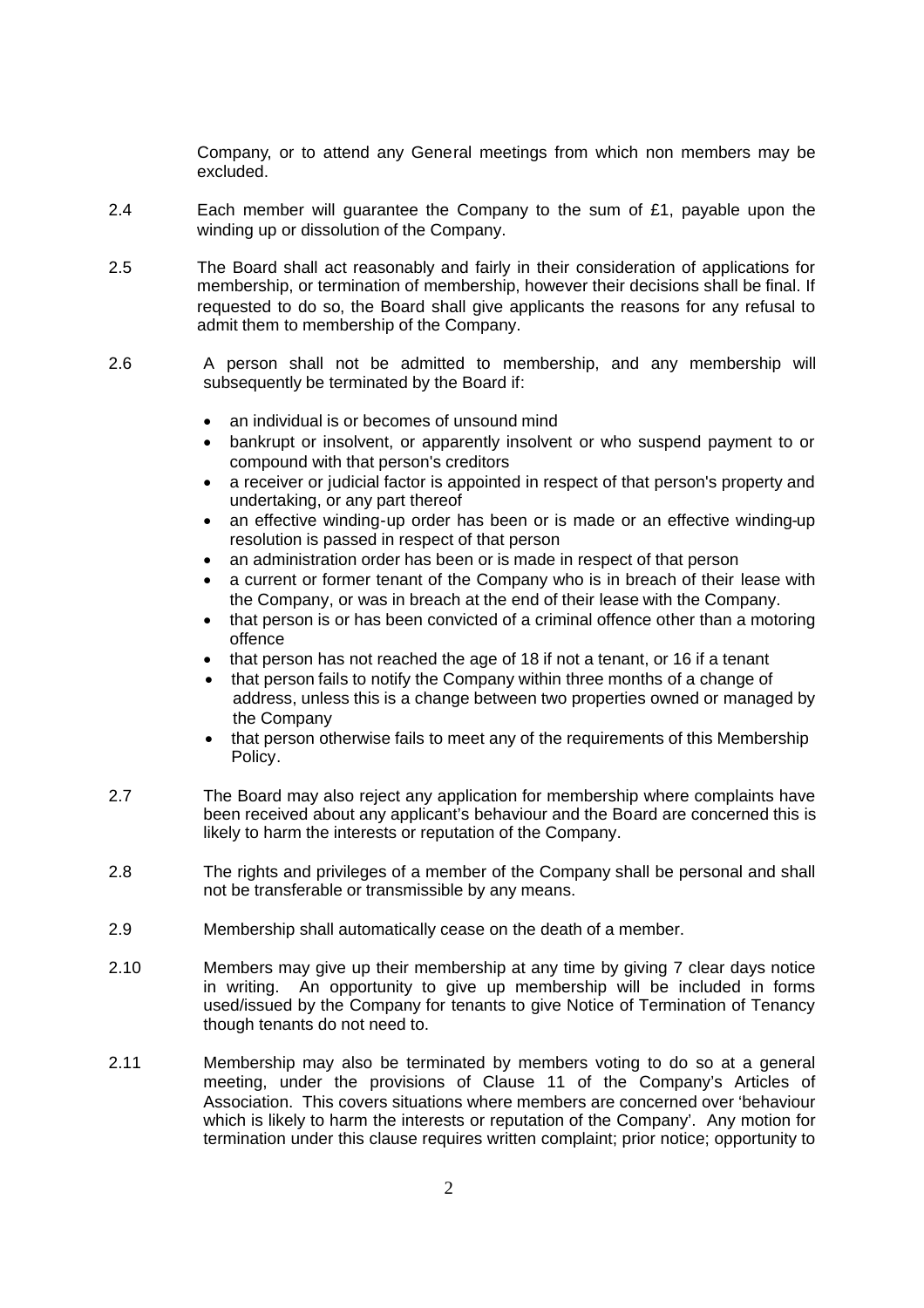Company, or to attend any General meetings from which non members may be excluded.

- 2.4 Each member will quarantee the Company to the sum of  $£1$ , payable upon the winding up or dissolution of the Company.
- 2.5 The Board shall act reasonably and fairly in their consideration of applications for membership, or termination of membership, however their decisions shall be final. If requested to do so, the Board shall give applicants the reasons for any refusal to admit them to membership of the Company.
- 2.6 A person shall not be admitted to membership, and any membership will subsequently be terminated by the Board if:
	- an individual is or becomes of unsound mind
	- bankrupt or insolvent, or apparently insolvent or who suspend payment to or compound with that person's creditors
	- a receiver or judicial factor is appointed in respect of that person's property and undertaking, or any part thereof
	- an effective winding-up order has been or is made or an effective winding-up resolution is passed in respect of that person
	- an administration order has been or is made in respect of that person
	- a current or former tenant of the Company who is in breach of their lease with the Company, or was in breach at the end of their lease with the Company.
	- that person is or has been convicted of a criminal offence other than a motoring offence
	- that person has not reached the age of 18 if not a tenant, or 16 if a tenant
	- that person fails to notify the Company within three months of a change of address, unless this is a change between two properties owned or managed by the Company
	- that person otherwise fails to meet any of the requirements of this Membership Policy.
- 2.7 The Board may also reject any application for membership where complaints have been received about any applicant's behaviour and the Board are concerned this is likely to harm the interests or reputation of the Company.
- 2.8 The rights and privileges of a member of the Company shall be personal and shall not be transferable or transmissible by any means.
- 2.9 Membership shall automatically cease on the death of a member.
- 2.10 Members may give up their membership at any time by giving 7 clear days notice in writing. An opportunity to give up membership will be included in forms used/issued by the Company for tenants to give Notice of Termination of Tenancy though tenants do not need to.
- 2.11 Membership may also be terminated by members voting to do so at a general meeting, under the provisions of Clause 11 of the Company's Articles of Association. This covers situations where members are concerned over 'behaviour which is likely to harm the interests or reputation of the Company'. Any motion for termination under this clause requires written complaint; prior notice; opportunity to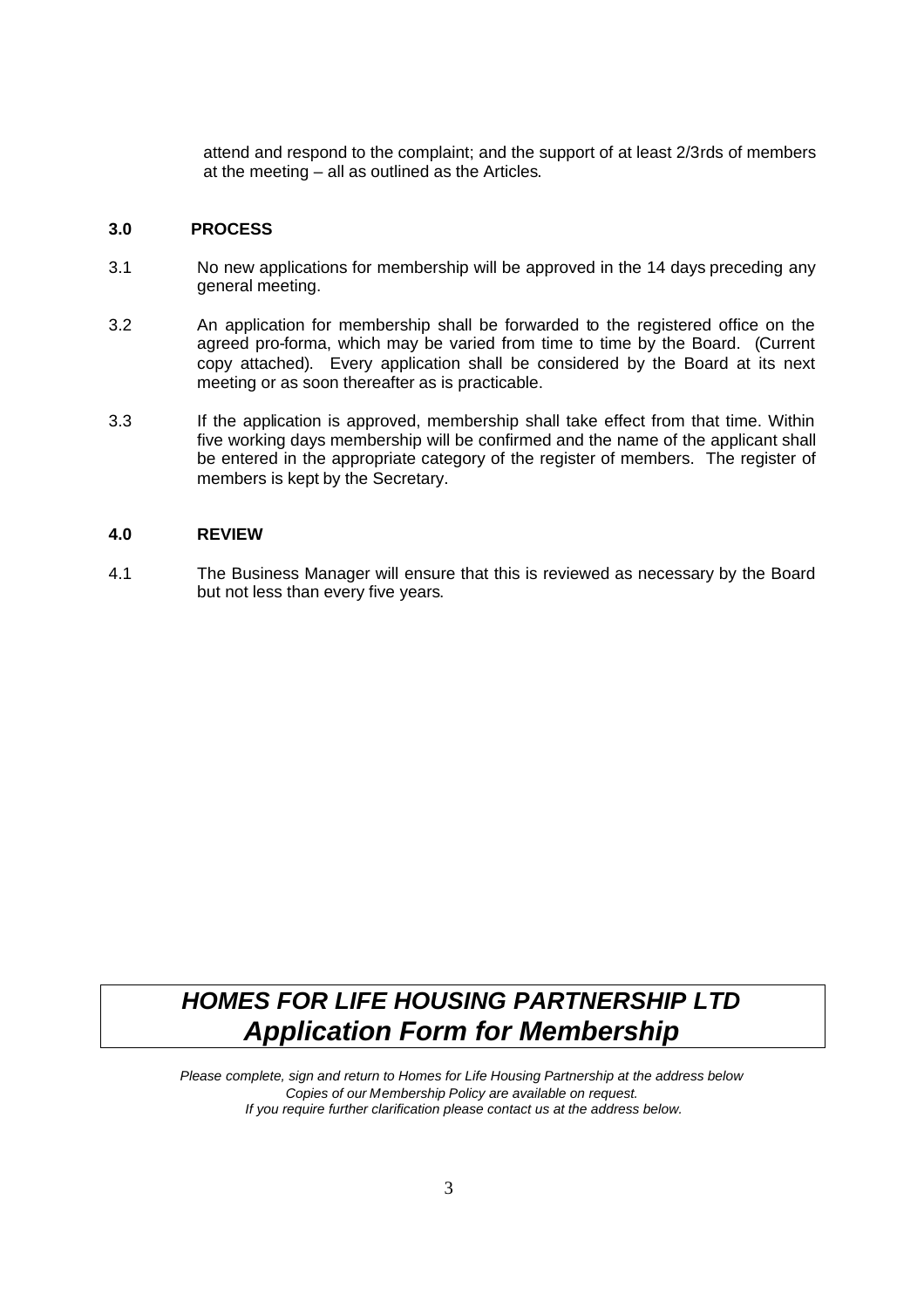attend and respond to the complaint; and the support of at least 2/3rds of members at the meeting – all as outlined as the Articles.

### **3.0 PROCESS**

- 3.1 No new applications for membership will be approved in the 14 days preceding any general meeting.
- 3.2 An application for membership shall be forwarded to the registered office on the agreed pro-forma, which may be varied from time to time by the Board. (Current copy attached). Every application shall be considered by the Board at its next meeting or as soon thereafter as is practicable.
- 3.3 If the application is approved, membership shall take effect from that time. Within five working days membership will be confirmed and the name of the applicant shall be entered in the appropriate category of the register of members. The register of members is kept by the Secretary.

### **4.0 REVIEW**

4.1 The Business Manager will ensure that this is reviewed as necessary by the Board but not less than every five years.

# *HOMES FOR LIFE HOUSING PARTNERSHIP LTD Application Form for Membership*

*Please complete, sign and return to Homes for Life Housing Partnership at the address below Copies of our Membership Policy are available on request. If you require further clarification please contact us at the address below.*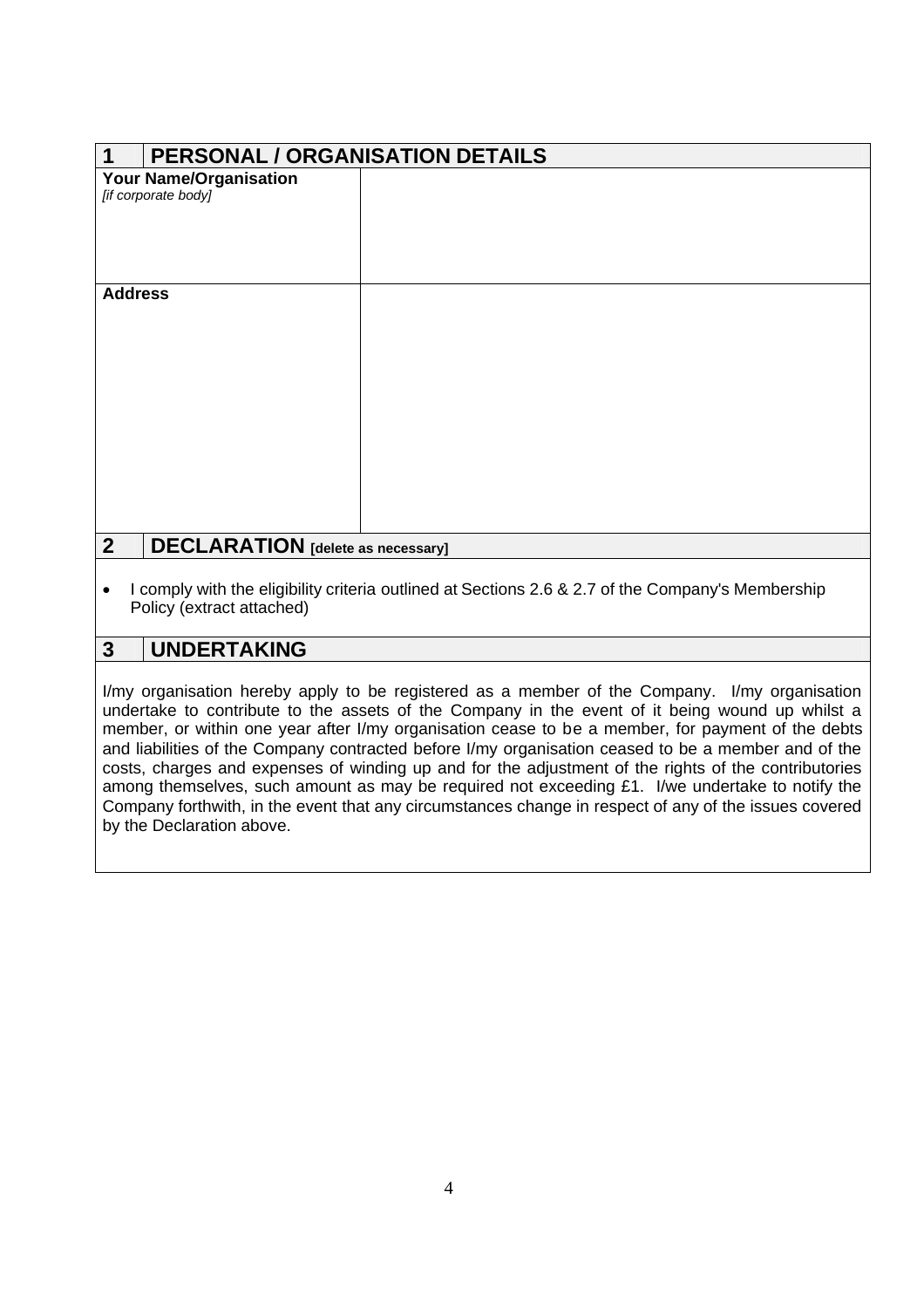| <b>PERSONAL / ORGANISATION DETAILS</b><br>1                                                       |  |  |
|---------------------------------------------------------------------------------------------------|--|--|
| <b>Your Name/Organisation</b>                                                                     |  |  |
| [if corporate body]                                                                               |  |  |
|                                                                                                   |  |  |
|                                                                                                   |  |  |
|                                                                                                   |  |  |
|                                                                                                   |  |  |
|                                                                                                   |  |  |
| <b>Address</b>                                                                                    |  |  |
|                                                                                                   |  |  |
|                                                                                                   |  |  |
|                                                                                                   |  |  |
|                                                                                                   |  |  |
|                                                                                                   |  |  |
|                                                                                                   |  |  |
|                                                                                                   |  |  |
|                                                                                                   |  |  |
|                                                                                                   |  |  |
|                                                                                                   |  |  |
|                                                                                                   |  |  |
|                                                                                                   |  |  |
|                                                                                                   |  |  |
|                                                                                                   |  |  |
|                                                                                                   |  |  |
| 2 <sup>1</sup><br><b>DECLARATION</b> [delete as necessary]                                        |  |  |
|                                                                                                   |  |  |
| I comply with the eligibility criteria outlined at Sections 2.6 & 2.7 of the Company's Membership |  |  |

Policy (extract attached)

## **3 UNDERTAKING**

I/my organisation hereby apply to be registered as a member of the Company. I/my organisation undertake to contribute to the assets of the Company in the event of it being wound up whilst a member, or within one year after I/my organisation cease to be a member, for payment of the debts and liabilities of the Company contracted before I/my organisation ceased to be a member and of the costs, charges and expenses of winding up and for the adjustment of the rights of the contributories among themselves, such amount as may be required not exceeding £1. I/we undertake to notify the Company forthwith, in the event that any circumstances change in respect of any of the issues covered by the Declaration above.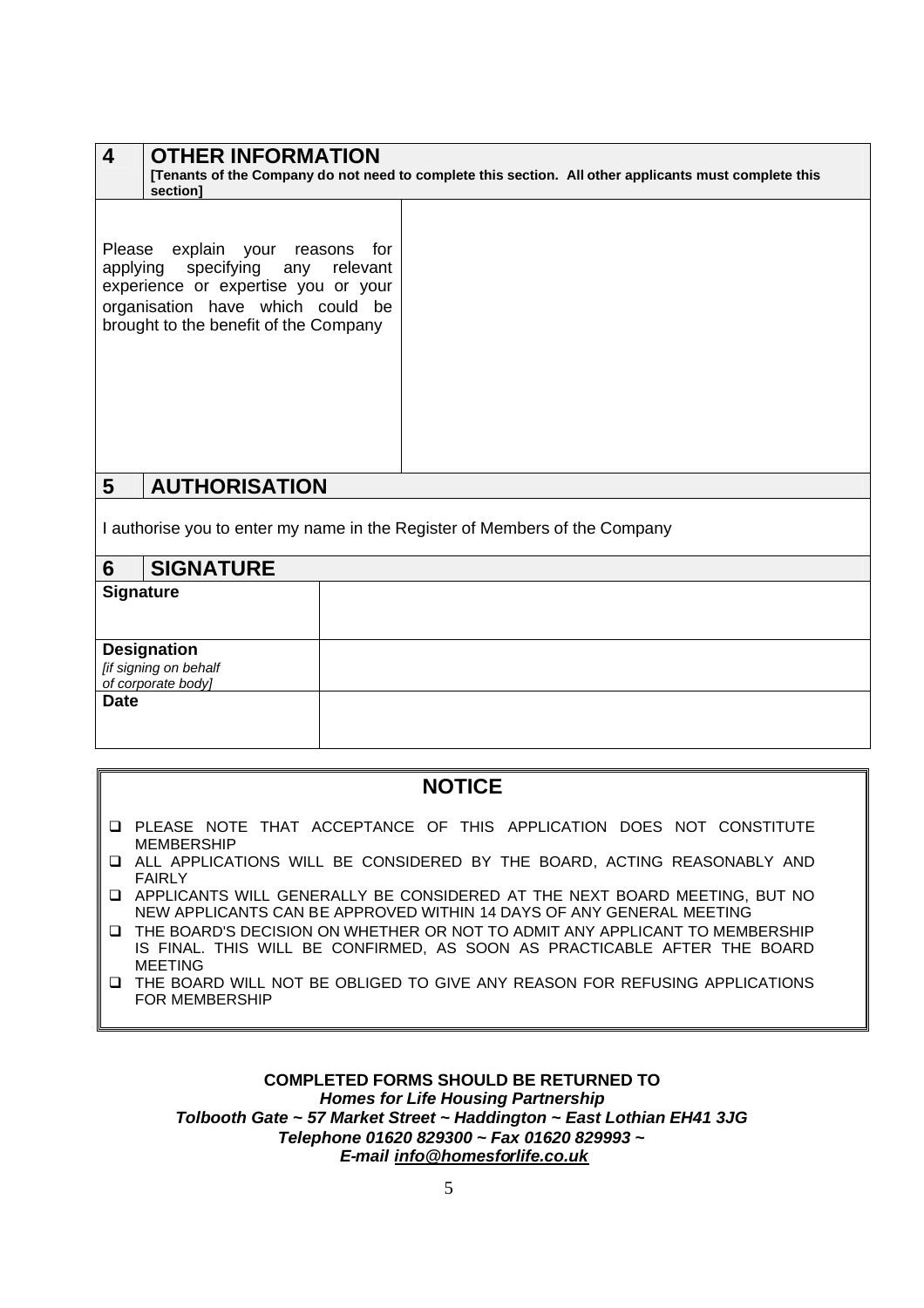| 4                                                                          | <b>OTHER INFORMATION</b><br>[Tenants of the Company do not need to complete this section. All other applicants must complete this<br>section]                                           |  |
|----------------------------------------------------------------------------|-----------------------------------------------------------------------------------------------------------------------------------------------------------------------------------------|--|
|                                                                            | Please explain your reasons for<br>applying specifying any relevant<br>experience or expertise you or your<br>organisation have which could be<br>brought to the benefit of the Company |  |
| 5                                                                          | <b>AUTHORISATION</b>                                                                                                                                                                    |  |
| I authorise you to enter my name in the Register of Members of the Company |                                                                                                                                                                                         |  |
| 6                                                                          | <b>SIGNATURE</b>                                                                                                                                                                        |  |

| v                                                                 |  |
|-------------------------------------------------------------------|--|
| <b>Signature</b>                                                  |  |
| <b>Designation</b><br>[if signing on behalf<br>of corporate body] |  |
| <b>Date</b>                                                       |  |

## **NOTICE**

- PLEASE NOTE THAT ACCEPTANCE OF THIS APPLICATION DOES NOT CONSTITUTE MEMBERSHIP
- ALL APPLICATIONS WILL BE CONSIDERED BY THE BOARD, ACTING REASONABLY AND FAIRLY
- APPLICANTS WILL GENERALLY BE CONSIDERED AT THE NEXT BOARD MEETING, BUT NO NEW APPLICANTS CAN BE APPROVED WITHIN 14 DAYS OF ANY GENERAL MEETING
- THE BOARD'S DECISION ON WHETHER OR NOT TO ADMIT ANY APPLICANT TO MEMBERSHIP IS FINAL. THIS WILL BE CONFIRMED, AS SOON AS PRACTICABLE AFTER THE BOARD MEETING
- THE BOARD WILL NOT BE OBLIGED TO GIVE ANY REASON FOR REFUSING APPLICATIONS FOR MEMBERSHIP

### **COMPLETED FORMS SHOULD BE RETURNED TO** *Homes for Life Housing Partnership Tolbooth Gate ~ 57 Market Street ~ Haddington ~ East Lothian EH41 3JG Telephone 01620 829300 ~ Fax 01620 829993 ~ E-mail info@homesforlife.co.uk*